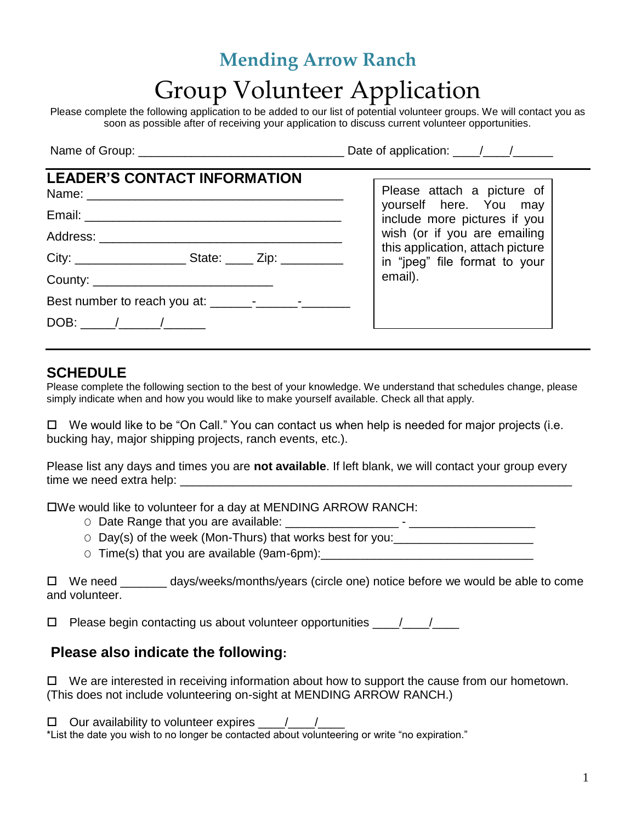# **Mending Arrow Ranch** Group Volunteer Application

Please complete the following application to be added to our list of potential volunteer groups. We will contact you as soon as possible after of receiving your application to discuss current volunteer opportunities.

Name of Group: \_\_\_\_\_\_\_\_\_\_\_\_\_\_\_\_\_\_\_\_\_\_\_\_\_\_\_\_\_\_\_ Date of application: \_\_\_\_/\_\_\_\_/\_\_\_\_\_\_

## **LEADER'S CONTACT INFORMATION**

| Name: 2008 2010 2020 2021 2022 2023 2024 2022 2022 2023 2024 2022 2023 2024 2022 2023 2024 2022 2023 2024 2022 |  |  |
|----------------------------------------------------------------------------------------------------------------|--|--|
|                                                                                                                |  |  |
|                                                                                                                |  |  |
|                                                                                                                |  |  |
|                                                                                                                |  |  |
|                                                                                                                |  |  |
| DOB: ______/________/________                                                                                  |  |  |

Please attach a picture of yourself here. You may include more pictures if you wish (or if you are emailing this application, attach picture in "jpeg" file format to your email).

#### **SCHEDULE**

Please complete the following section to the best of your knowledge. We understand that schedules change, please simply indicate when and how you would like to make yourself available. Check all that apply.

 $\Box$  We would like to be "On Call." You can contact us when help is needed for major projects (i.e. bucking hay, major shipping projects, ranch events, etc.).

Please list any days and times you are **not available**. If left blank, we will contact your group every time we need extra help:

We would like to volunteer for a day at MENDING ARROW RANCH:

- O Date Range that you are available: \_\_\_\_\_\_\_\_\_\_\_\_\_\_\_\_\_ \_\_\_\_\_\_\_\_\_\_\_\_\_\_\_\_\_\_\_
- $\circ$  Day(s) of the week (Mon-Thurs) that works best for you:
- $\circ$  Time(s) that you are available (9am-6pm):

 $\Box$  We need \_\_\_\_\_\_\_ days/weeks/months/years (circle one) notice before we would be able to come and volunteer.

 $\Box$  Please begin contacting us about volunteer opportunities  $\Box$ 

#### **Please also indicate the following:**

 $\Box$  We are interested in receiving information about how to support the cause from our hometown. (This does not include volunteering on-sight at MENDING ARROW RANCH.)

 $\Box$  Our availability to volunteer expires  $\Box$ 

\*List the date you wish to no longer be contacted about volunteering or write "no expiration."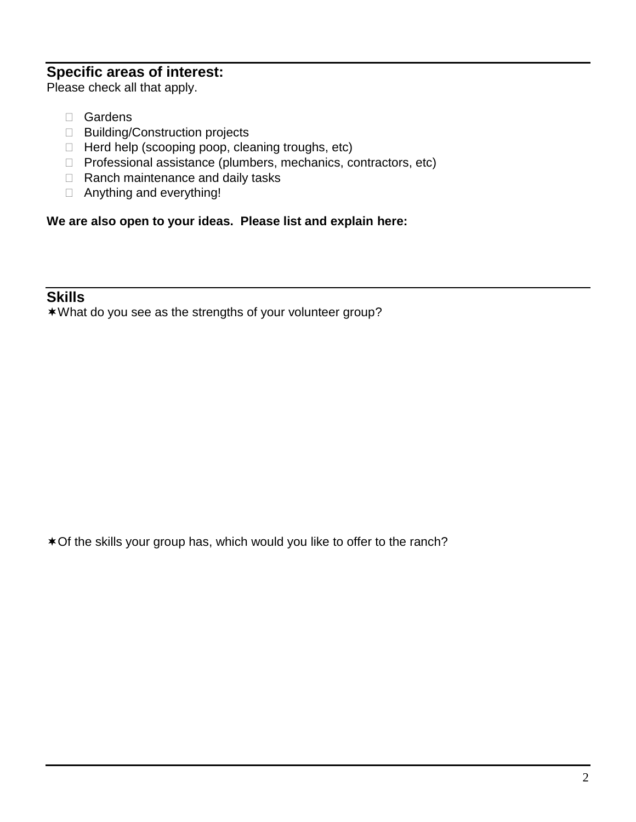#### **Specific areas of interest:**

Please check all that apply.

- □ Gardens
- □ Building/Construction projects
- $\Box$  Herd help (scooping poop, cleaning troughs, etc)
- □ Professional assistance (plumbers, mechanics, contractors, etc)
- $\Box$  Ranch maintenance and daily tasks
- Anything and everything!

**We are also open to your ideas. Please list and explain here:**

#### **Skills**

What do you see as the strengths of your volunteer group?

Of the skills your group has, which would you like to offer to the ranch?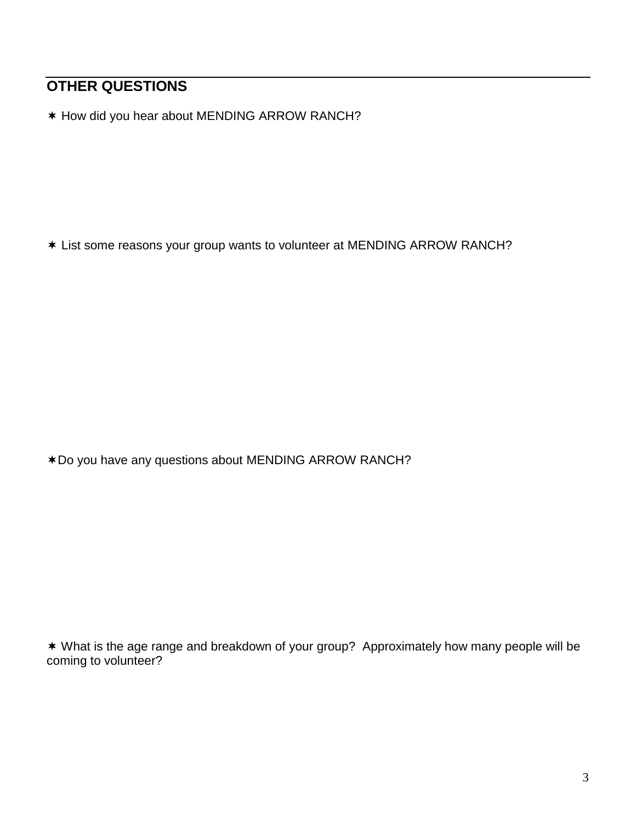### **OTHER QUESTIONS**

\* How did you hear about MENDING ARROW RANCH?

List some reasons your group wants to volunteer at MENDING ARROW RANCH?

Do you have any questions about MENDING ARROW RANCH?

 What is the age range and breakdown of your group? Approximately how many people will be coming to volunteer?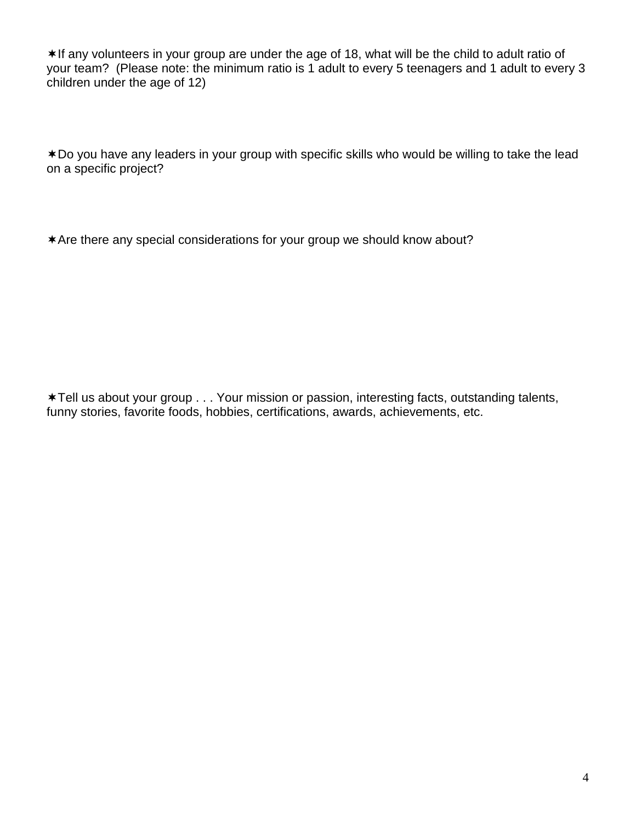\*If any volunteers in your group are under the age of 18, what will be the child to adult ratio of your team? (Please note: the minimum ratio is 1 adult to every 5 teenagers and 1 adult to every 3 children under the age of 12)

Do you have any leaders in your group with specific skills who would be willing to take the lead on a specific project?

\* Are there any special considerations for your group we should know about?

Tell us about your group . . . Your mission or passion, interesting facts, outstanding talents, funny stories, favorite foods, hobbies, certifications, awards, achievements, etc.